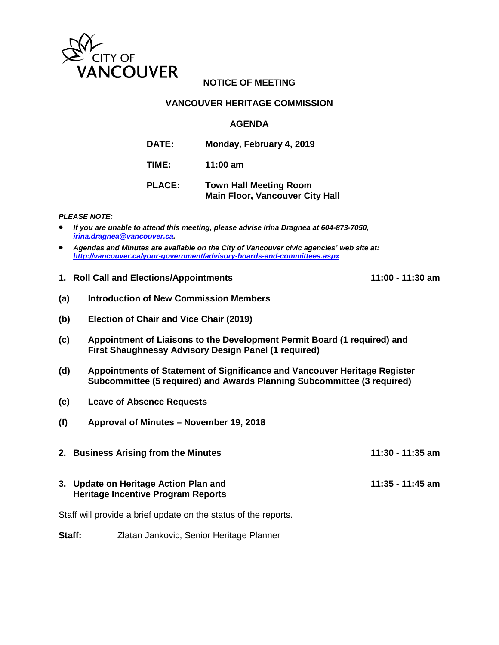

# **NOTICE OF MEETING**

### **VANCOUVER HERITAGE COMMISSION**

#### **AGENDA**

| <b>DATE:</b>  | Monday, February 4, 2019                                                |
|---------------|-------------------------------------------------------------------------|
| TIME:         | 11:00 $am$                                                              |
| <b>PLACE:</b> | <b>Town Hall Meeting Room</b><br><b>Main Floor, Vancouver City Hall</b> |

*PLEASE NOTE:*

- *If you are unable to attend this meeting, please advise Irina Dragnea at 604-873-7050, [irina.dragnea@vancouver.ca.](mailto:irina.dragnea@vancouver.ca)*
- *Agendas and Minutes are available on the City of Vancouver civic agencies' web site at: <http://vancouver.ca/your-government/advisory-boards-and-committees.aspx>*
- **1. Roll Call and Elections/Appointments 11:00 11:30 am**

- **(a) Introduction of New Commission Members**
- **(b) Election of Chair and Vice Chair (2019)**
- **(c) Appointment of Liaisons to the Development Permit Board (1 required) and First Shaughnessy Advisory Design Panel (1 required)**
- **(d) Appointments of Statement of Significance and Vancouver Heritage Register Subcommittee (5 required) and Awards Planning Subcommittee (3 required)**
- **(e) Leave of Absence Requests**
- **(f) Approval of Minutes November 19, 2018**
- **2. Business Arising from the Minutes 11:30 11:35 am**
- **3. Update on Heritage Action Plan and 11:35 11:45 am Heritage Incentive Program Reports**

Staff will provide a brief update on the status of the reports.

**Staff:** Zlatan Jankovic, Senior Heritage Planner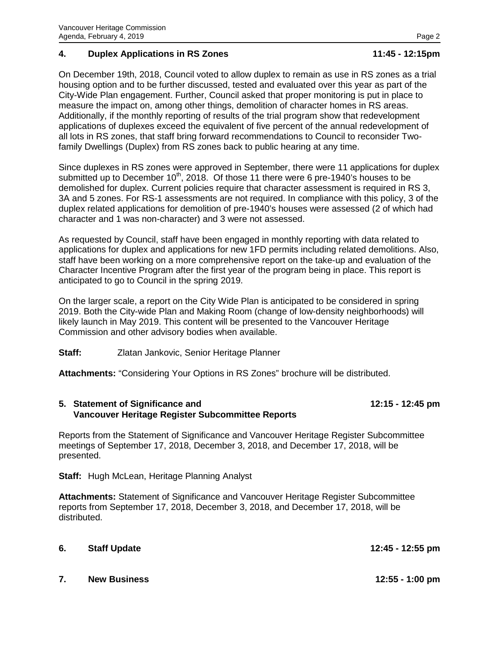#### **4. Duplex Applications in RS Zones 11:45 - 12:15pm**

On December 19th, 2018, Council voted to allow duplex to remain as use in RS zones as a trial housing option and to be further discussed, tested and evaluated over this year as part of the City-Wide Plan engagement. Further, Council asked that proper monitoring is put in place to measure the impact on, among other things, demolition of character homes in RS areas. Additionally, if the monthly reporting of results of the trial program show that redevelopment applications of duplexes exceed the equivalent of five percent of the annual redevelopment of all lots in RS zones, that staff bring forward recommendations to Council to reconsider Twofamily Dwellings (Duplex) from RS zones back to public hearing at any time.

Since duplexes in RS zones were approved in September, there were 11 applications for duplex submitted up to December  $10<sup>th</sup>$ , 2018. Of those 11 there were 6 pre-1940's houses to be demolished for duplex. Current policies require that character assessment is required in RS 3, 3A and 5 zones. For RS-1 assessments are not required. In compliance with this policy, 3 of the duplex related applications for demolition of pre-1940's houses were assessed (2 of which had character and 1 was non-character) and 3 were not assessed.

As requested by Council, staff have been engaged in monthly reporting with data related to applications for duplex and applications for new 1FD permits including related demolitions. Also, staff have been working on a more comprehensive report on the take-up and evaluation of the Character Incentive Program after the first year of the program being in place. This report is anticipated to go to Council in the spring 2019.

On the larger scale, a report on the City Wide Plan is anticipated to be considered in spring 2019. Both the City-wide Plan and Making Room (change of low-density neighborhoods) will likely launch in May 2019. This content will be presented to the Vancouver Heritage Commission and other advisory bodies when available.

**Staff:** Zlatan Jankovic, Senior Heritage Planner

**Attachments:** "Considering Your Options in RS Zones" brochure will be distributed.

## **5. Statement of Significance and 12:15 - 12:45 pm Vancouver Heritage Register Subcommittee Reports**

Reports from the Statement of Significance and Vancouver Heritage Register Subcommittee meetings of September 17, 2018, December 3, 2018, and December 17, 2018, will be presented.

**Staff:** Hugh McLean, Heritage Planning Analyst

**Attachments:** Statement of Significance and Vancouver Heritage Register Subcommittee reports from September 17, 2018, December 3, 2018, and December 17, 2018, will be distributed.

# **6. Staff Update 12:45 - 12:55 pm**

# **7. New Business 12:55 - 1:00 pm**